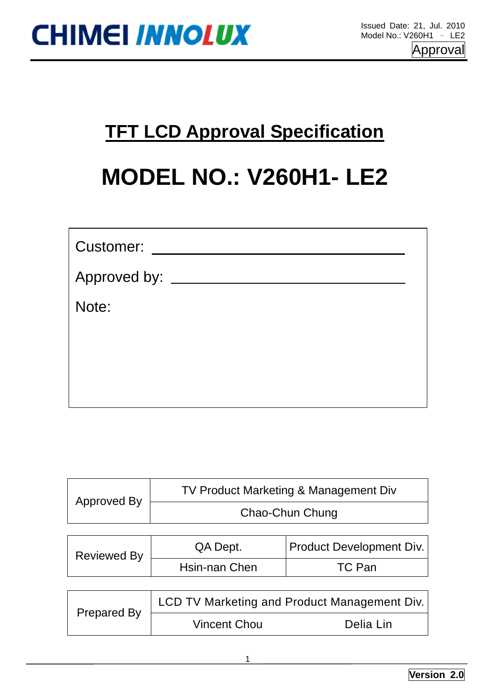

### **MODEL NO.: V260H1- LE2**

| <b>TFT LCD Approval Specification</b> |                               |                                              |  |  |  |  |
|---------------------------------------|-------------------------------|----------------------------------------------|--|--|--|--|
|                                       | <b>MODEL NO.: V260H1- LE2</b> |                                              |  |  |  |  |
| Customer:                             |                               |                                              |  |  |  |  |
| Approved by: _____                    |                               |                                              |  |  |  |  |
| Note:                                 |                               |                                              |  |  |  |  |
|                                       |                               |                                              |  |  |  |  |
|                                       |                               |                                              |  |  |  |  |
|                                       |                               |                                              |  |  |  |  |
| <b>Approved By</b>                    |                               | TV Product Marketing & Management Div        |  |  |  |  |
|                                       |                               | Chao-Chun Chung                              |  |  |  |  |
| <b>Reviewed By</b>                    | QA Dept.                      | Product Development Div.                     |  |  |  |  |
|                                       | Hsin-nan Chen                 | <b>TC Pan</b>                                |  |  |  |  |
|                                       |                               | LCD TV Marketing and Product Management Div. |  |  |  |  |
| <b>Prepared By</b>                    | <b>Vincent Chou</b>           | Delia Lin                                    |  |  |  |  |
|                                       | 1                             |                                              |  |  |  |  |

| Approved By | TV Product Marketing & Management Div |
|-------------|---------------------------------------|
|             | Chao-Chun Chung                       |

| <b>Reviewed By</b> | QA Dept.      | <b>Product Development Div.</b> |
|--------------------|---------------|---------------------------------|
|                    | Hsin-nan Chen | TC Pan                          |

| Prepared By | LCD TV Marketing and Product Management Div. |           |  |  |  |
|-------------|----------------------------------------------|-----------|--|--|--|
|             | <b>Vincent Chou</b>                          | Delia Lin |  |  |  |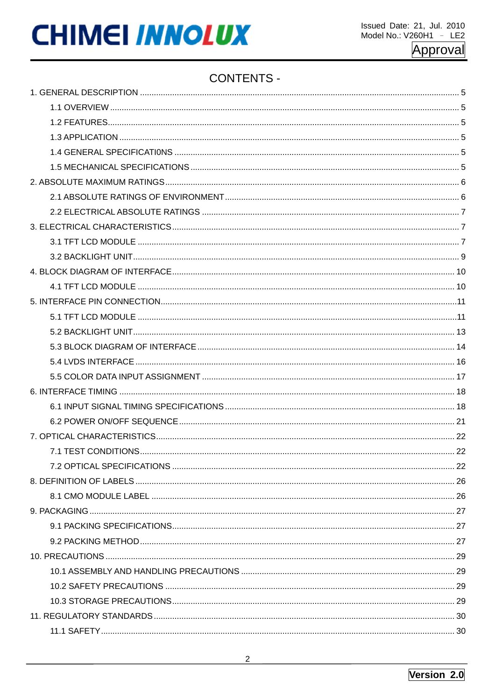### **CONTENTS -**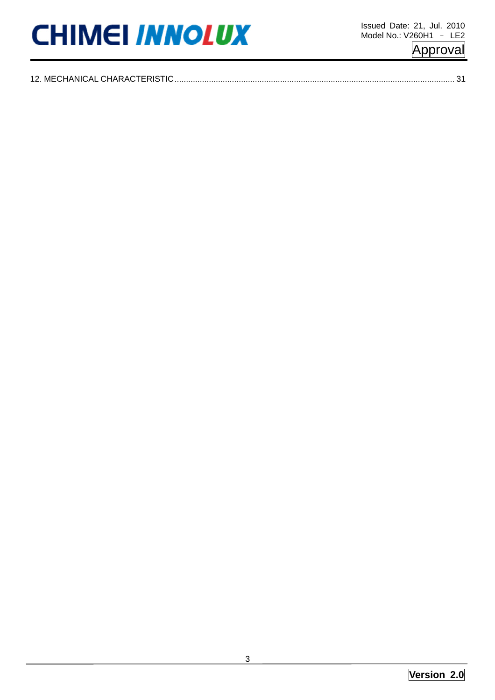|  |  | Approval |  |
|--|--|----------|--|
|  |  |          |  |

| $\ensuremath{\mathsf{3}}$ |  |
|---------------------------|--|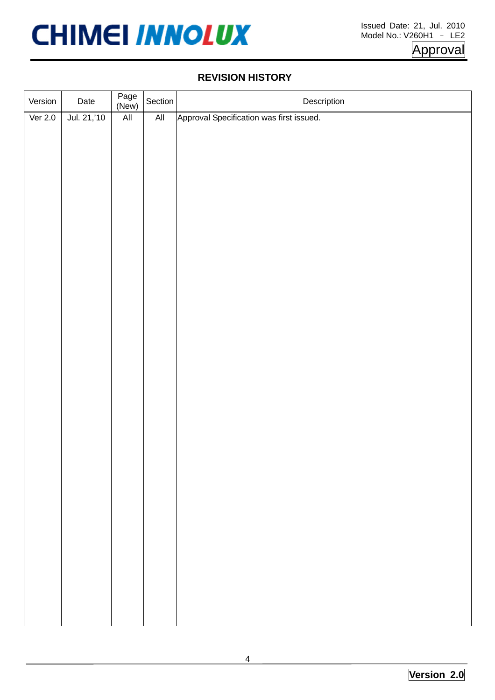

#### **REVISION HISTORY**

|           |             |               |         | <b>REVISION HISTORY</b>                  |
|-----------|-------------|---------------|---------|------------------------------------------|
| Version   | Date        | Page<br>(New) | Section | Description                              |
| Ver $2.0$ | Jul. 21,'10 | All           | All     | Approval Specification was first issued. |
|           |             |               |         | $\overline{4}$                           |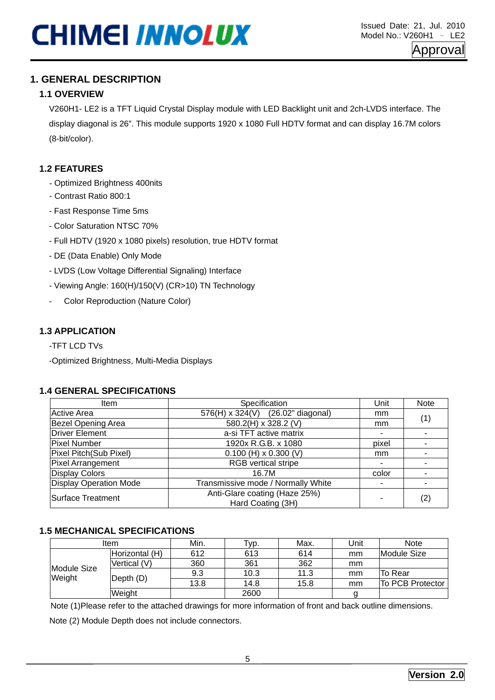### **1.1 OVERVIEW**

### **1.2 FEATURES**

- Optimized Brightness 400nits
- Contrast Ratio 800:1
- Fast Response Time 5ms
- Color Saturation NTSC 70%
- Full HDTV (1920 x 1080 pixels) resolution, true HDTV format
- DE (Data Enable) Only Mode
- LVDS (Low Voltage Differential Signaling) Interface
- Viewing Angle: 160(H)/150(V) (CR>10) TN Technology
- Color Reproduction (Nature Color)

### **1.3 APPLICATION**

#### **1.4 GENERAL SPECIFICATI0NS**

|                                            | V260H1-LE2 is a TFT Liquid Crystal Display module with LED Backlight unit and 2ch-LVDS interface. The     |             |                                    |                     |            |       |         |                            |
|--------------------------------------------|-----------------------------------------------------------------------------------------------------------|-------------|------------------------------------|---------------------|------------|-------|---------|----------------------------|
|                                            | display diagonal is 26". This module supports 1920 x 1080 Full HDTV format and can display 16.7M colors   |             |                                    |                     |            |       |         |                            |
| (8-bit/color).                             |                                                                                                           |             |                                    |                     |            |       |         |                            |
| <b>1.2 FEATURES</b>                        |                                                                                                           |             |                                    |                     |            |       |         |                            |
| - Optimized Brightness 400nits             |                                                                                                           |             |                                    |                     |            |       |         |                            |
| - Contrast Ratio 800:1                     |                                                                                                           |             |                                    |                     |            |       |         |                            |
| - Fast Response Time 5ms                   |                                                                                                           |             |                                    |                     |            |       |         |                            |
| - Color Saturation NTSC 70%                |                                                                                                           |             |                                    |                     |            |       |         |                            |
|                                            |                                                                                                           |             |                                    |                     |            |       |         |                            |
|                                            | - Full HDTV (1920 x 1080 pixels) resolution, true HDTV format                                             |             |                                    |                     |            |       |         |                            |
| - DE (Data Enable) Only Mode               |                                                                                                           |             |                                    |                     |            |       |         |                            |
|                                            | - LVDS (Low Voltage Differential Signaling) Interface                                                     |             |                                    |                     |            |       |         |                            |
|                                            | - Viewing Angle: 160(H)/150(V) (CR>10) TN Technology                                                      |             |                                    |                     |            |       |         |                            |
|                                            | <b>Color Reproduction (Nature Color)</b>                                                                  |             |                                    |                     |            |       |         |                            |
|                                            |                                                                                                           |             |                                    |                     |            |       |         |                            |
|                                            | <b>1.4 GENERAL SPECIFICATIONS</b>                                                                         |             |                                    |                     |            |       |         |                            |
| Specification<br>Unit<br>Note<br>Item      |                                                                                                           |             |                                    |                     |            |       |         |                            |
| <b>Active Area</b>                         |                                                                                                           |             | 576(H) x 324(V)                    |                     |            | mm    |         |                            |
| Bezel Opening Area                         |                                                                                                           |             | 580.2(H) x 328.2 (V)               | $(26.02"$ diagonal) |            | mm    |         |                            |
| Driver Element                             |                                                                                                           |             | a-si TFT active matrix             |                     |            |       |         |                            |
| <b>Pixel Number</b>                        |                                                                                                           |             | 1920x R.G.B. x 1080                |                     |            | pixel |         |                            |
| Pixel Pitch(Sub Pixel)                     |                                                                                                           |             | $0.100$ (H) x 0.300 (V)            |                     |            | mm    |         |                            |
| <b>Pixel Arrangement</b><br>Display Colors |                                                                                                           |             | RGB vertical stripe<br>16.7M       |                     |            | color |         |                            |
| <b>Display Operation Mode</b>              |                                                                                                           |             | Transmissive mode / Normally White |                     |            |       |         |                            |
| <b>Surface Treatment</b>                   |                                                                                                           |             | Anti-Glare coating (Haze 25%)      |                     |            |       |         |                            |
|                                            |                                                                                                           |             | Hard Coating (3H)                  |                     |            |       |         |                            |
|                                            |                                                                                                           |             |                                    |                     |            |       |         |                            |
|                                            | <b>1.5 MECHANICAL SPECIFICATIONS</b>                                                                      |             |                                    |                     |            |       |         |                            |
|                                            | Item                                                                                                      | Min.<br>612 | Typ.<br>613                        | Max.<br>614         | Unit<br>mm |       |         | <b>Note</b><br>Module Size |
|                                            | Horizontal (H)<br>Vertical (V)                                                                            | 360         | 361                                | 362                 | mm         |       |         |                            |
| <b>Module Size</b>                         |                                                                                                           | 9.3         | 10.3                               | 11.3                | mm         |       | To Rear | (1)<br>(2)                 |
| Weight                                     | Depth (D)                                                                                                 | 13.8        | 14.8                               | 15.8                | mm         |       |         |                            |
|                                            | Weight                                                                                                    |             | 2600                               |                     | g          |       |         |                            |
|                                            | Note (1) Please refer to the attached drawings for more information of front and back outline dimensions. |             |                                    |                     |            |       |         | To PCB Protector           |
|                                            | Note (2) Module Depth does not include connectors.                                                        |             |                                    |                     |            |       |         |                            |

### **1.5 MECHANICAL SPECIFICATIONS**

|             | <b>Item</b>         | Min. | Тур. | Max. | Jnit | Note             |
|-------------|---------------------|------|------|------|------|------------------|
|             | Horizontal (H)      | 612  | 613  | 614  | mm   | Module Size      |
| Module Size | Vertical (V)        | 360  | 361  | 362  | mm   |                  |
|             | Weight<br>Depth (D) | 9.3  | 10.3 | 11.3 | mm   | To Rear          |
|             |                     | 13.8 | 14.8 | 15.8 | mm   | To PCB Protector |
|             | Weight              |      | 2600 |      |      |                  |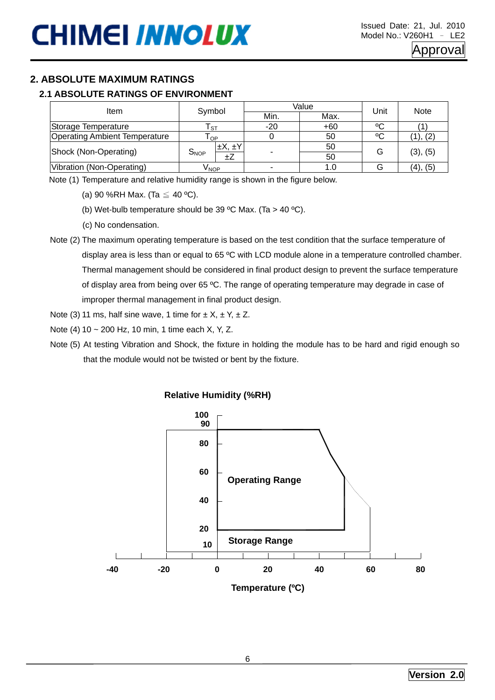#### **2.1 ABSOLUTE RATINGS OF ENVIRONMENT**

| Item                                 |                      |       | Value | Unit | <b>Note</b> |  |
|--------------------------------------|----------------------|-------|-------|------|-------------|--|
|                                      | Symbol               | Min.  | Max.  |      |             |  |
| Storage Temperature                  | - ST                 | $-20$ | $+60$ | °C   |             |  |
| <b>Operating Ambient Temperature</b> | l OP.                |       | 50    | °C   | (1), (2)    |  |
| Shock (Non-Operating)                | $\pm X, \pm Y$       |       | 50    | G    |             |  |
|                                      | $S_{NOP}$<br>$\pm Z$ |       | 50    |      | (3), (5)    |  |
| Vibration (Non-Operating)            | Ѵӎор                 |       |       |      | (4), (5)    |  |

Note (1) Temperature and relative humidity range is shown in the figure below.

(a) 90 %RH Max. (Ta  $\leq$  40 °C).

(b) Wet-bulb temperature should be 39 °C Max. (Ta  $>$  40 °C).

- (c) No condensation.
- Note (2) The maximum operating temperature is based on the test condition that the surface temperature of display area is less than or equal to 65 ºC with LCD module alone in a temperature controlled chamber. Thermal management should be considered in final product design to prevent the surface temperature of display area from being over 65 ºC. The range of operating temperature may degrade in case of improper thermal management in final product design.

Note (3) 11 ms, half sine wave, 1 time for  $\pm X$ ,  $\pm Y$ ,  $\pm Z$ .

Note (4) 10 ~ 200 Hz, 10 min, 1 time each X, Y, Z.

Note (5) At testing Vibration and Shock, the fixture in holding the module has to be hard and rigid enough so that the module would not be twisted or bent by the fixture.

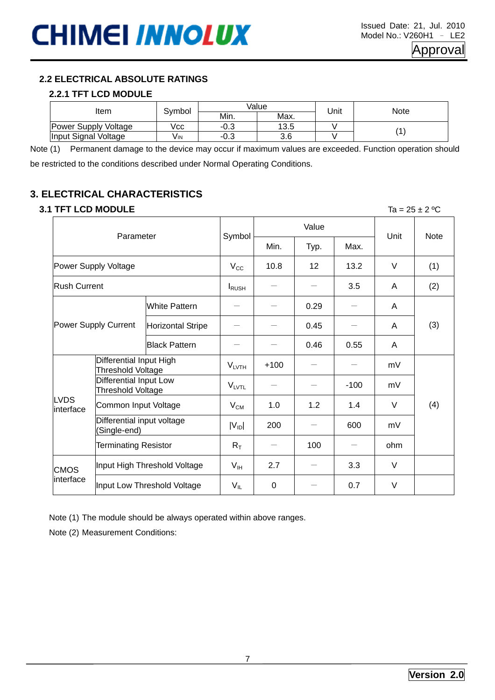#### **2.2.1 TFT LCD MODULE**

|                             |        |        | Value |      |      |
|-----------------------------|--------|--------|-------|------|------|
| Item                        | Symbol | Min.   | Max.  | Unit | Note |
| <b>Power Supply Voltage</b> | Vcc    | $-0.3$ | 13.5  |      |      |
| Input Signal Voltage        | VIN    | $-0.3$ | 3.6   |      |      |

Note (1) Permanent damage to the device may occur if maximum values are exceeded. Function operation should be restricted to the conditions described under Normal Operating Conditions.

### **3. ELECTRICAL CHARACTERISTICS**

#### **3.1 TFT LCD MODULE** Ta = 25 ± 2 ºC

2.2 ELECTRICAL ABSOLUTE RATINGS<br>
2.2.1 TFT LCD MODULE<br>
Item<br>
Input Signal Voltage<br>
Item<br>
Input Signal Voltage<br>
Item<br>
Insured Signal Voltage<br>
(ii) Permented tangs to the decoration of the considerate of the considerate<br>
res Value Parameter Symbol Min. | Typ. | Max. Unit | Note Power Supply Voltage  $\vert$  V<sub>CC</sub>  $\vert$  10.8  $\vert$  12  $\vert$  13.2  $\vert$  V  $\vert$  (1) Rush Current  $\left| \begin{array}{ccc} | & | & | \end{array} \right| = \left| - \begin{array}{ccc} - & | & 3.5 \end{array} \right|$  A (2) White Pattern  $\begin{vmatrix} - & \end{vmatrix}$  - 0.29  $\begin{vmatrix} - & \end{vmatrix}$  A Power Supply Current Horizontal Stripe  $\begin{vmatrix} - & | & - & | & 0.45 \end{vmatrix}$   $\begin{vmatrix} - & | & - \end{vmatrix}$  A Black Pattern  $\vert - \vert$   $\vert$  0.46  $\vert$  0.55  $\vert$  A (3) Differential Input High Threshold Voltage VLVTH +100 - - mV Differential Input Low  $\begin{array}{|c|c|c|c|c|}\n \hline\n \text{Thread} & \text{Input} & \text{Low} \\
 \hline\n \text{Threshold Voltage} & & \text{V}_{\text{LVTL}} & - & - & -100 & \mbox{mV} \\
 \hline\n \end{array}$ Common Input Voltage VCM 1.0 1.2 1.4 V Differential input voltage  $\begin{array}{|c|c|c|c|c|c|c|c|}\hline \text{N} & \text{N} & \text{N} & \text{N} \end{array}$  (Single-end) and  $\begin{array}{|c|c|c|c|c|}\hline \text{N} & \text{N} & \text{N} & \text{N} \end{array}$ LVDS interface Terminating Resistor  $\begin{array}{|c|c|c|c|c|c|}\R_\mathrm{T} & - & 100 & - & \end{array}$  ohm (4) CMOS Input High Threshold Voltage V<sub>IH</sub> 2.7 - 3.3 V<br>interface Input Low Threshold Voltage  $|V_{\text{IL}}| = 0$   $| - | 0.7 | V$ 

Note (1) The module should be always operated within above ranges.

Note (2) Measurement Conditions: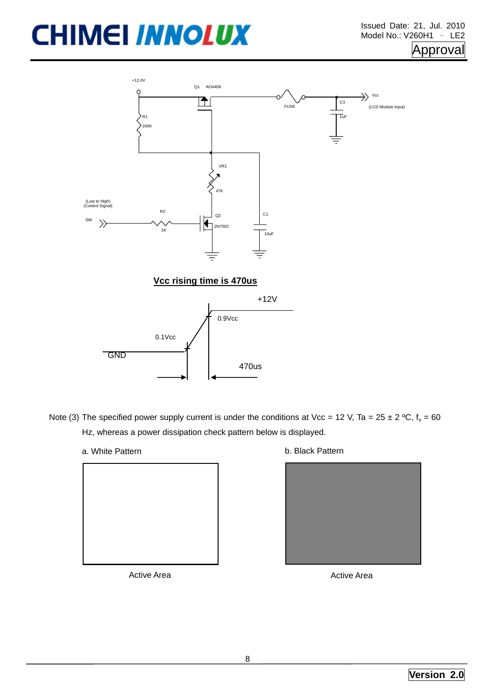



- Hz, whereas a power dissipation check pattern below is displayed.
	-
	- a. White Pattern **b. Black Pattern**

| a. White Pattern | b. Black Pattern |
|------------------|------------------|
|                  |                  |
| Active Area      | Active Area      |
|                  | 8                |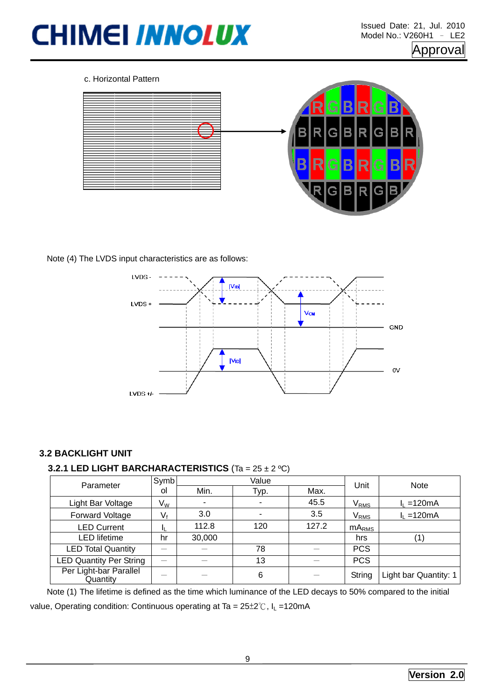

#### Note (4) The LVDS input characteristics are as follows:



#### **3.2 BACKLIGHT UNIT**

#### **3.2.1 LED LIGHT BARCHARACTERISTICS** (Ta = 25 ± 2 ºC)

| Parameter                          | Symb                      |                          | Value | Unit  | <b>Note</b>       |                       |
|------------------------------------|---------------------------|--------------------------|-------|-------|-------------------|-----------------------|
|                                    | οl                        | Min.                     | Typ.  | Max.  |                   |                       |
| Light Bar Voltage                  | $\mathsf{V}_{\mathsf{W}}$ | $\overline{\phantom{a}}$ | ٠.    | 45.5  | $V_{RMS}$         | $I_1 = 120 \text{mA}$ |
| Forward Voltage                    | V٠                        | 3.0                      | ٠     | 3.5   | $V_{RMS}$         | $I_L = 120mA$         |
| <b>LED Current</b>                 | и                         | 112.8                    | 120   | 127.2 | mA <sub>RMS</sub> |                       |
| <b>LED</b> lifetime                | hr                        | 30,000                   |       |       | hrs               |                       |
| <b>LED Total Quantity</b>          |                           |                          | 78    |       | <b>PCS</b>        |                       |
| <b>LED Quantity Per String</b>     | $\overline{\phantom{a}}$  |                          | 13    |       | <b>PCS</b>        |                       |
| Per Light-bar Parallel<br>Quantity |                           |                          | 6     |       | String            | Light bar Quantity: 1 |

Note (1) The lifetime is defined as the time which luminance of the LED decays to 50% compared to the initial value, Operating condition: Continuous operating at Ta =  $25\pm2^{\circ}$ C,  $I_1$  = 120mA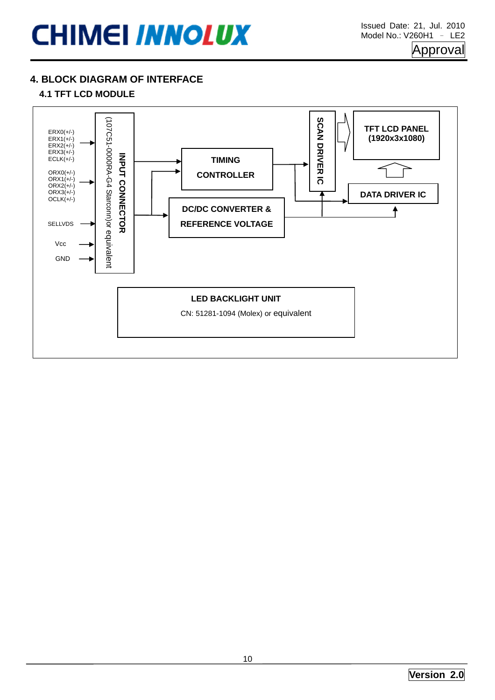### **4. BLOCK DIAGRAM OF INTERFACE**

### **4.1 TFT LCD MODULE**

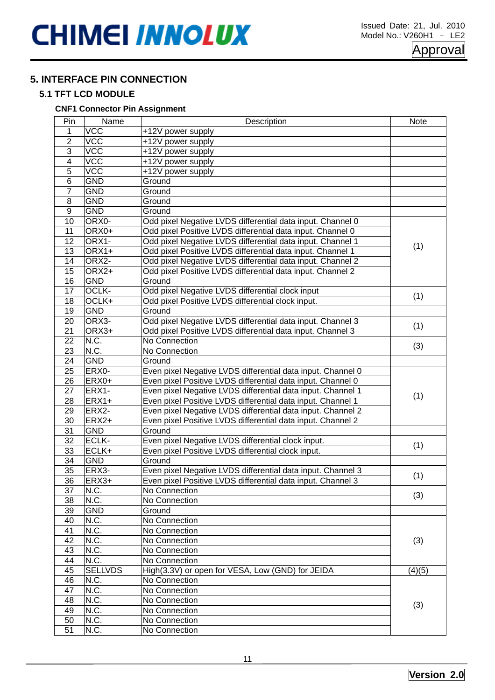### **5. INTERFACE PIN CONNECTION**

#### **5.1 TFT LCD MODULE**

#### **CNF1 Connector Pin Assignment**

| Pin             | Name             | Description                                                 | <b>Note</b> |  |
|-----------------|------------------|-------------------------------------------------------------|-------------|--|
| 1               | <b>VCC</b>       | +12V power supply                                           |             |  |
| $\overline{2}$  | $\overline{VCC}$ | +12V power supply                                           |             |  |
| 3               | VCC              | +12V power supply                                           |             |  |
| 4               | VCC              | +12V power supply                                           |             |  |
| $\overline{5}$  | VCC              | +12V power supply                                           |             |  |
| $\overline{6}$  | <b>GND</b>       | Ground                                                      |             |  |
| $\overline{7}$  | <b>GND</b>       | Ground                                                      |             |  |
| 8               | <b>GND</b>       | Ground                                                      |             |  |
| $\overline{9}$  | <b>GND</b>       | Ground                                                      |             |  |
| 10              | ORX0-            | Odd pixel Negative LVDS differential data input. Channel 0  |             |  |
| 11              | ORX0+            | Odd pixel Positive LVDS differential data input. Channel 0  |             |  |
| 12              | ORX1-            | Odd pixel Negative LVDS differential data input. Channel 1  |             |  |
| 13              | ORX1+            | Odd pixel Positive LVDS differential data input. Channel 1  | (1)         |  |
| 14              | ORX2-            | Odd pixel Negative LVDS differential data input. Channel 2  |             |  |
| 15              | ORX2+            | Odd pixel Positive LVDS differential data input. Channel 2  |             |  |
| 16              | <b>GND</b>       | Ground                                                      |             |  |
| 17              | OCLK-            | Odd pixel Negative LVDS differential clock input            |             |  |
| 18              | OCLK+            | Odd pixel Positive LVDS differential clock input.           | (1)         |  |
| 19              | <b>GND</b>       | Ground                                                      |             |  |
| 20              | ORX3-            | Odd pixel Negative LVDS differential data input. Channel 3  |             |  |
| 21              | ORX3+            | Odd pixel Positive LVDS differential data input. Channel 3  | (1)         |  |
| 22              | N.C.             | No Connection                                               |             |  |
| 23              | N.C.             | No Connection                                               | (3)         |  |
| 24              | <b>GND</b>       | Ground                                                      |             |  |
| 25              | ERX0-            | Even pixel Negative LVDS differential data input. Channel 0 |             |  |
| 26              | ERX0+            | Even pixel Positive LVDS differential data input. Channel 0 |             |  |
| 27              | ERX1-            | Even pixel Negative LVDS differential data input. Channel 1 |             |  |
| 28              | $ERX1+$          | Even pixel Positive LVDS differential data input. Channel 1 | (1)         |  |
| 29              | ERX2-            | Even pixel Negative LVDS differential data input. Channel 2 |             |  |
| 30              | $ERX2+$          | Even pixel Positive LVDS differential data input. Channel 2 |             |  |
| 31              | <b>GND</b>       | Ground                                                      |             |  |
| $\overline{32}$ | ECLK-            | Even pixel Negative LVDS differential clock input.          |             |  |
| 33              | ECLK+            | Even pixel Positive LVDS differential clock input.          | (1)         |  |
| 34              | <b>GND</b>       | Ground                                                      |             |  |
| $\overline{35}$ | ERX3-            | Even pixel Negative LVDS differential data input. Channel 3 |             |  |
| $\overline{36}$ | ERX3+            | Even pixel Positive LVDS differential data input. Channel 3 | (1)         |  |
| 37              | N.C.             | No Connection                                               |             |  |
| 38              | N.C.             | No Connection                                               | (3)         |  |
| 39              | <b>GND</b>       | Ground                                                      |             |  |
| 40              | N.C.             | No Connection                                               |             |  |
| 41              | N.C.             | No Connection                                               |             |  |
| 42              | N.C.             | No Connection                                               | (3)         |  |
| 43              | N.C.             | No Connection                                               |             |  |
| 44              | N.C.             | No Connection                                               |             |  |
| 45              | <b>SELLVDS</b>   | High(3.3V) or open for VESA, Low (GND) for JEIDA            | (4)(5)      |  |
| 46              | N.C.             | No Connection                                               |             |  |
| 47              | N.C.             | No Connection                                               |             |  |
| 48              | N.C.             | No Connection                                               |             |  |
| 49              | N.C.             | No Connection                                               | (3)         |  |
| 50              | N.C.             | No Connection                                               |             |  |
| 51              | N.C.             | No Connection                                               |             |  |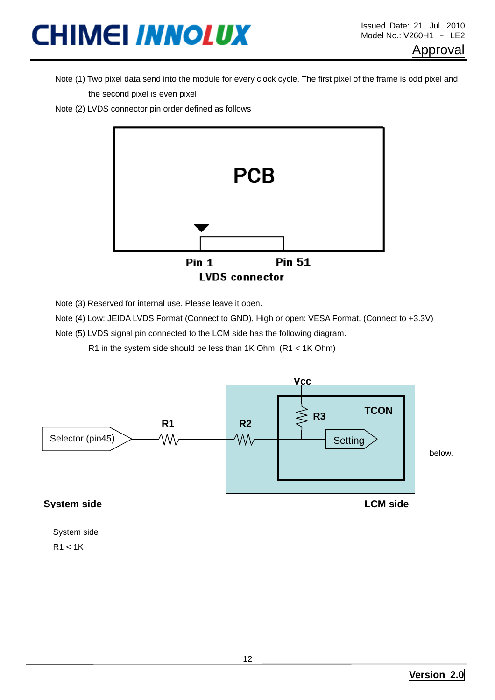- Note (1) Two pixel data send into the module for every clock cycle. The first pixel of the frame is odd pixel and the second pixel is even pixel
- Note (2) LVDS connector pin order defined as follows



Note (3) Reserved for internal use. Please leave it open.

Note (4) Low: JEIDA LVDS Format (Connect to GND), High or open: VESA Format. (Connect to +3.3V)

Note (5) LVDS signal pin connected to the LCM side has the following diagram.

R1 in the system side should be less than 1K Ohm. (R1 < 1K Ohm)



System side  $R1 < 1K$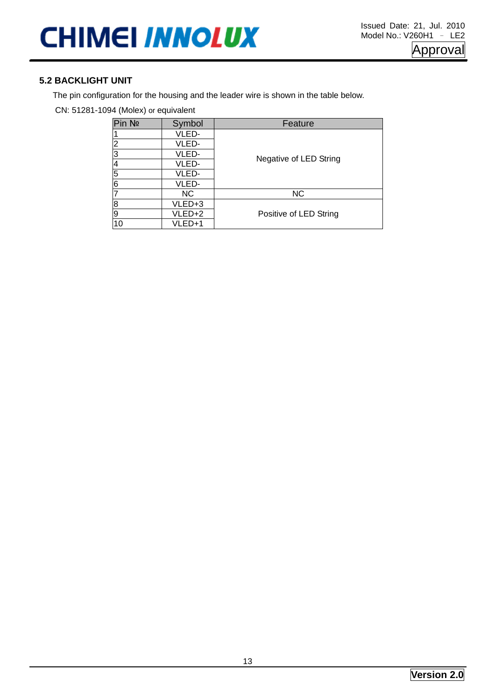#### **5.2 BACKLIGHT UNIT**

The pin configuration for the housing and the leader wire is shown in the table below.

CN: 51281-1094 (Molex) or equivalent

| Pin No         | Symbol | Feature                |
|----------------|--------|------------------------|
|                | VLED-  |                        |
| $\overline{2}$ | VLED-  |                        |
| 3              | VLED-  | Negative of LED String |
|                | VLED-  |                        |
| 5              | VLED-  |                        |
| 6              | VLED-  |                        |
|                | NC.    | <b>NC</b>              |
| 8              | VLED+3 |                        |
| Ι9             | VLED+2 | Positive of LED String |
| 10             | VLED+1 |                        |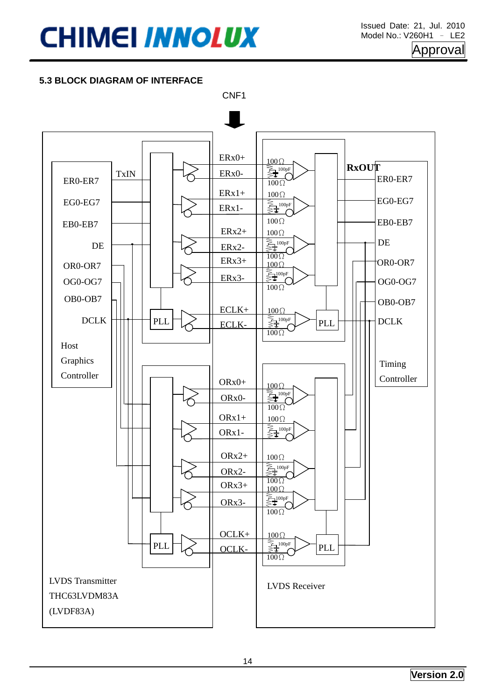#### **5.3 BLOCK DIAGRAM OF INTERFACE**

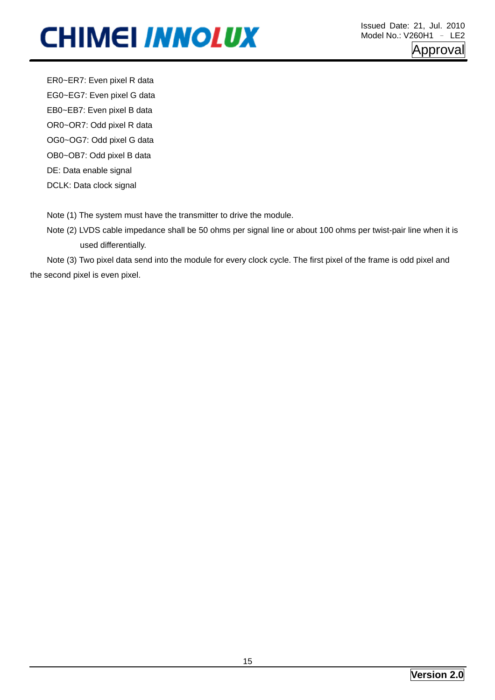ER0~ER7: Even pixel R data EG0~EG7: Even pixel G data EB0~EB7: Even pixel B data OR0~OR7: Odd pixel R data OG0~OG7: Odd pixel G data OB0~OB7: Odd pixel B data DE: Data enable signal DCLK: Data clock signal

Note (1) The system must have the transmitter to drive the module.

Note (2) LVDS cable impedance shall be 50 ohms per signal line or about 100 ohms per twist-pair line when it is used differentially.

Note (3) Two pixel data send into the module for every clock cycle. The first pixel of the frame is odd pixel and the second pixel is even pixel.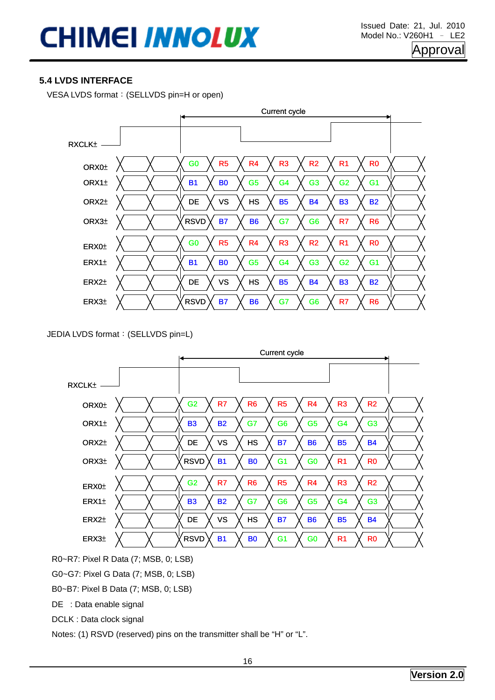#### **5.4 LVDS INTERFACE**

VESA LVDS format:(SELLVDS pin=H or open)



JEDIA LVDS format:(SELLVDS pin=L)



R0~R7: Pixel R Data (7; MSB, 0; LSB)

G0~G7: Pixel G Data (7; MSB, 0; LSB)

B0~B7: Pixel B Data (7; MSB, 0; LSB)

DE : Data enable signal

DCLK : Data clock signal

Notes: (1) RSVD (reserved) pins on the transmitter shall be "H" or "L".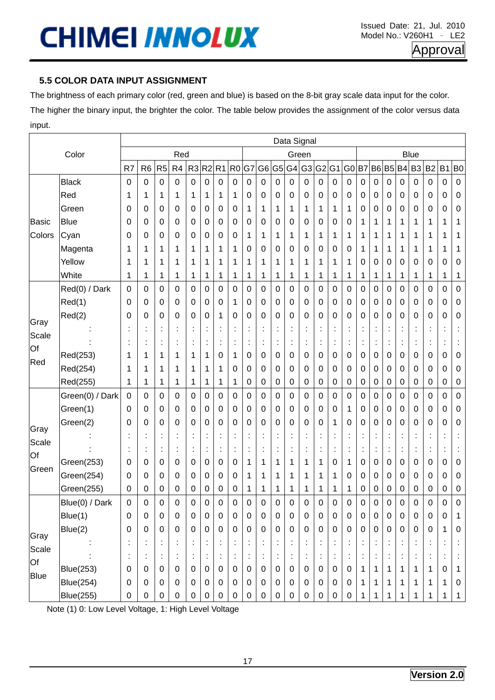### **5.5 COLOR DATA INPUT ASSIGNMENT**

The brightness of each primary color (red, green and blue) is based on the 8-bit gray scale data input for the color.

The higher the binary input, the brighter the color. The table below provides the assignment of the color versus data input.

|               |                  |                      |                  |                |                  |                  |                  |                      |                  |           |                  |                  |                      | Data Signal          |                      |                      |                |                      |                  |                  |                      |                      |                      |                      |                |
|---------------|------------------|----------------------|------------------|----------------|------------------|------------------|------------------|----------------------|------------------|-----------|------------------|------------------|----------------------|----------------------|----------------------|----------------------|----------------|----------------------|------------------|------------------|----------------------|----------------------|----------------------|----------------------|----------------|
|               | Color            |                      |                  |                | Red              |                  |                  |                      |                  |           |                  |                  |                      | Green                |                      |                      |                |                      |                  |                  |                      | <b>Blue</b>          |                      |                      |                |
|               |                  | R7                   | R <sub>6</sub>   | R <sub>5</sub> | R4               | R <sub>3</sub>   | $R2$ $R1$        |                      | R <sub>0</sub>   | G7        | G <sub>6</sub>   | G <sub>5</sub>   | G4                   | G <sub>3</sub>       | G <sub>2</sub>       | G <sub>1</sub>       | G <sub>0</sub> | B <sub>7</sub>       | B <sub>6</sub>   | <b>B5</b> B4     |                      | B <sub>3</sub>       | <b>B2</b>            | B <sub>1</sub>       | B <sub>0</sub> |
|               | <b>Black</b>     | 0                    | $\mathbf 0$      | $\mathbf 0$    | $\boldsymbol{0}$ | 0                | $\mathbf 0$      | $\mathbf 0$          | 0                | $\pmb{0}$ | 0                | $\boldsymbol{0}$ | 0                    | 0                    | 0                    | 0                    | $\mathbf 0$    | 0                    | 0                | 0                | $\pmb{0}$            | 0                    | 0                    | 0                    | $\pmb{0}$      |
|               | Red              | 1                    | 1                | 1              | 1                | 1                | 1                | 1                    | 1                | 0         | $\pmb{0}$        | 0                | 0                    | 0                    | 0                    | 0                    | 0              | 0                    | 0                | 0                | 0                    | 0                    | 0                    | 0                    | 0              |
|               | Green            | 0                    | 0                | 0              | 0                | 0                | 0                | 0                    | 0                | 1         | 1                | 1                | 1                    | 1                    | 1                    | 1                    | 1              | 0                    | 0                | 0                | 0                    | 0                    | 0                    | 0                    | 0              |
| <b>Basic</b>  | <b>Blue</b>      | 0                    | 0                | 0              | 0                | 0                | 0                | 0                    | 0                | 0         | 0                | 0                | 0                    | 0                    | 0                    | 0                    | 0              | 1                    | 1                | 1                | 1                    | 1                    | 1                    | 1                    | 1              |
| Colors        | Cyan             | 0                    | 0                | 0              | 0                | 0                | 0                | 0                    | 0                | 1         | 1                | 1                | 1                    | 1                    | 1                    | 1                    | 1              | 1                    | 1                | 1                | 1                    | 1                    | 1                    | 1                    | 1              |
|               | Magenta          | 1                    | 1                | 1              | 1                | 1                | 1                | 1                    | 1                | 0         | 0                | 0                | 0                    | 0                    | 0                    | 0                    | 0              | 1                    | 1                | 1                | 1                    | 1                    | 1                    | 1                    | 1              |
|               | Yellow           | 1                    | 1                | 1              | 1                | 1                | 1                | 1                    | 1                | 1         | 1                | 1                | 1                    | 1                    | 1                    | 1                    | 1              | 0                    | 0                | 0                | 0                    | 0                    | 0                    | 0                    | 0              |
|               | White            | 1                    | 1                | 1              | 1                | 1                | 1                | 1                    | 1                | 1         | 1                | 1                | 1                    | 1                    | 1                    | 1                    | 1              | 1                    | 1                | 1                | 1                    | 1                    | 1                    | 1                    | 1              |
|               | Red(0) / Dark    | 0                    | 0                | 0              | 0                | 0                | 0                | 0                    | 0                | 0         | 0                | 0                | 0                    | 0                    | 0                    | 0                    | 0              | 0                    | 0                | 0                | 0                    | 0                    | 0                    | 0                    | $\pmb{0}$      |
|               | Red(1)           | 0                    | 0                | 0              | 0                | 0                | 0                | 0                    | 1                | 0         | 0                | 0                | 0                    | 0                    | 0                    | 0                    | 0              | 0                    | 0                | 0                | 0                    | 0                    | 0                    | 0                    | 0              |
|               | Red(2)           | 0                    | 0                | 0              | 0                | 0                | 0                | 1                    | 0                | 0         | $\pmb{0}$        | 0                | 0                    | 0                    | 0                    | 0                    | 0              | 0                    | 0                | 0                | 0                    | 0                    | 0                    | 0                    | 0              |
| Gray<br>Scale |                  |                      |                  |                |                  |                  |                  |                      |                  |           | t                |                  | $\ddot{\cdot}$       |                      |                      |                      |                | $\ddot{\phantom{a}}$ |                  |                  |                      |                      |                      | İ                    |                |
| Of            |                  | $\blacksquare$       | $\blacksquare$   | $\blacksquare$ |                  | $\ddot{\cdot}$   | $\ddot{\cdot}$   | $\ddot{\phantom{a}}$ | t,               | $\cdot$   | ţ,               | ţ,               | $\ddot{\cdot}$       | $\cdot$              | $\ddot{\cdot}$       | ÷                    | $\bullet$      | $\ddot{\cdot}$       | $\ddot{\cdot}$   | $\blacksquare$   | $\blacksquare$       | $\vdots$             | t                    | ÷                    |                |
| Red           | Red(253)         | 1                    | 1                | 1              | 1                | 1                | 1                | 0                    | 1                | 0         | 0                | 0                | 0                    | 0                    | 0                    | 0                    | 0              | 0                    | 0                | 0                | 0                    | 0                    | 0                    | 0                    | 0              |
|               | Red(254)         | 1                    | 1                | 1              | 1                | 1                | 1                | 1                    | 0                | 0         | 0                | 0                | 0                    | 0                    | 0                    | 0                    | 0              | 0                    | 0                | 0                | 0                    | 0                    | 0                    | 0                    | 0              |
|               | Red(255)         | 1                    | 1                | 1              | 1                | 1                | 1                | 1                    | 1                | 0         | $\pmb{0}$        | 0                | 0                    | 0                    | 0                    | 0                    | 0              | 0                    | 0                | 0                | 0                    | $\pmb{0}$            | 0                    | 0                    | $\pmb{0}$      |
|               | Green(0) / Dark  | $\mathbf 0$          | 0                | 0              | 0                | 0                | $\pmb{0}$        | $\pmb{0}$            | 0                | 0         | 0                | $\pmb{0}$        | 0                    | 0                    | $\pmb{0}$            | 0                    | 0              | 0                    | 0                | 0                | 0                    | $\mathbf 0$          | 0                    | 0                    | $\mathbf 0$    |
|               | Green(1)         | 0                    | 0                | 0              | 0                | 0                | 0                | 0                    | 0                | 0         | 0                | 0                | 0                    | 0                    | 0                    | 0                    | 1              | 0                    | 0                | 0                | 0                    | 0                    | 0                    | 0                    | 0              |
| Gray          | Green(2)         | 0                    | 0                | 0              | 0                | 0                | 0                | 0                    | 0                | 0         | 0                | 0                | 0                    | 0                    | 0                    | 1                    | 0              | 0                    | 0                | 0                | 0                    | 0                    | 0                    | 0                    | 0              |
| Scale         |                  |                      |                  | ٠              |                  |                  | ×                | İ,                   |                  |           | $\ddot{\cdot}$   | $\ddot{\cdot}$   | $\ddot{\phantom{a}}$ |                      |                      | $\ddot{\cdot}$       |                | $\ddot{\cdot}$       | $\vdots$         |                  |                      |                      |                      | $\vdots$             |                |
| Of            |                  | ä,                   | ÷                | t              |                  | ÷                | ÷,               | $\ddot{\phantom{a}}$ | ÷                | ä,        | ÷                | $\vdots$         | $\ddot{\phantom{a}}$ | $\ddot{\phantom{a}}$ | $\ddot{\phantom{a}}$ | ÷                    | $\ddot{\cdot}$ | ÷                    | $\vdots$         | İ                | $\ddot{\phantom{a}}$ | ÷                    | $\ddot{\phantom{a}}$ | ÷                    |                |
| Green         | Green(253)       | 0                    | 0                | 0              | 0                | 0                | 0                | 0                    | 0                | 1         | 1                | 1                | 1                    | 1                    | 1                    | 0                    | 1              | 0                    | 0                | 0                | 0                    | 0                    | 0                    | 0                    | 0              |
|               | Green(254)       | 0                    | 0                | 0              | 0                | 0                | 0                | 0                    | 0                | 1         | 1                | 1                | 1                    | 1                    | 1                    | 1                    | 0              | 0                    | 0                | 0                | 0                    | 0                    | 0                    | 0                    | 0              |
|               | Green(255)       | 0                    | 0                | 0              | 0                | 0                | 0                | 0                    | 0                | 1         | 1                | 1                | 1                    | 1                    | 1                    | 1                    | 1              | 0                    | 0                | 0                | 0                    | 0                    | 0                    | 0                    | 0              |
|               | Blue(0) / Dark   | 0                    | 0                | 0              | 0                | 0                | 0                | 0                    | 0                | 0         | 0                | 0                | 0                    | 0                    | 0                    | 0                    | 0              | 0                    | 0                | 0                | 0                    | 0                    | 0                    | 0                    | 0              |
|               | Blue(1)          | $\mathbf 0$          | $\boldsymbol{0}$ | $\pmb{0}$      | $\mathbf 0$      | $\mathbf 0$      | $\mathbf 0$      | $\pmb{0}$            | $\pmb{0}$        | $\pmb{0}$ | $\boldsymbol{0}$ | $\pmb{0}$        | $\pmb{0}$            | $\pmb{0}$            | $\pmb{0}$            | $\boldsymbol{0}$     | $\mathbf 0$    | $\pmb{0}$            | $\boldsymbol{0}$ | $\boldsymbol{0}$ | $\pmb{0}$            | $\pmb{0}$            | $\pmb{0}$            | 0                    | $\mathbf{1}$   |
| Gray          | Blue(2)          | $\mathbf 0$          | $\pmb{0}$        | $\pmb{0}$      | $\mathbf 0$      | $\boldsymbol{0}$ | $\mathbf 0$      | $\pmb{0}$            | $\pmb{0}$        | $\pmb{0}$ | $\pmb{0}$        | $\pmb{0}$        | $\pmb{0}$            | $\mathbf 0$          | $\pmb{0}$            | $\boldsymbol{0}$     | $\mathbf 0$    | $\mathbf 0$          | $\pmb{0}$        | 0                | $\,0\,$              | $\pmb{0}$            | $\pmb{0}$            | 1                    | $\,0\,$        |
| Scale         |                  | $\vdots$             | ţ,               |                |                  | t,               | İ,               |                      |                  |           | ţ,               |                  | $\ddot{\cdot}$       |                      | $\ddot{\cdot}$       | ÷                    |                | $\vdots$             | İ,               |                  |                      | t,                   |                      | İ,                   | ţ,             |
| Of            |                  | $\ddot{\phantom{a}}$ | ÷                |                |                  | ÷                | ÷                | t                    | $\ddot{\cdot}$   | ÷         | $\ddot{\cdot}$   | ÷                | t,                   |                      | t,                   | $\ddot{\phantom{a}}$ | $\ddot{\cdot}$ | $\ddot{\phantom{a}}$ |                  |                  |                      | $\ddot{\phantom{a}}$ | ÷                    | $\ddot{\phantom{a}}$ | ÷              |
| <b>Blue</b>   | <b>Blue(253)</b> | $\mathbf 0$          | $\boldsymbol{0}$ | $\pmb{0}$      | $\mathbf 0$      | $\boldsymbol{0}$ | $\mathbf 0$      | $\pmb{0}$            | $\boldsymbol{0}$ | $\pmb{0}$ | $\pmb{0}$        | $\mathbf 0$      | $\mathbf 0$          | $\pmb{0}$            | $\mathbf 0$          | $\pmb{0}$            | $\mathbf 0$    | $\mathbf{1}$         | 1                | 1                | 1                    | $\mathbf{1}$         | 1                    | $\mathbf 0$          | 1              |
|               | <b>Blue(254)</b> | $\pmb{0}$            | $\boldsymbol{0}$ | $\pmb{0}$      | 0                | $\boldsymbol{0}$ | $\mathbf 0$      | $\pmb{0}$            | $\boldsymbol{0}$ | 0         | 0                | $\mathbf 0$      | $\pmb{0}$            | 0                    | $\pmb{0}$            | $\boldsymbol{0}$     | $\mathbf 0$    | $\mathbf 1$          | 1                | 1                | 1                    | $\mathbf{1}$         | 1                    | 1                    | 0              |
|               | <b>Blue(255)</b> | $\pmb{0}$            | $\pmb{0}$        | $\pmb{0}$      | 0                | $\pmb{0}$        | $\boldsymbol{0}$ | $\pmb{0}$            | 0                | 0         | $\boldsymbol{0}$ | 0                | $\pmb{0}$            | $\pmb{0}$            | $\pmb{0}$            | $\boldsymbol{0}$     | 0              | 1                    |                  |                  |                      |                      |                      |                      | $\mathbf{1}$   |

Note (1) 0: Low Level Voltage, 1: High Level Voltage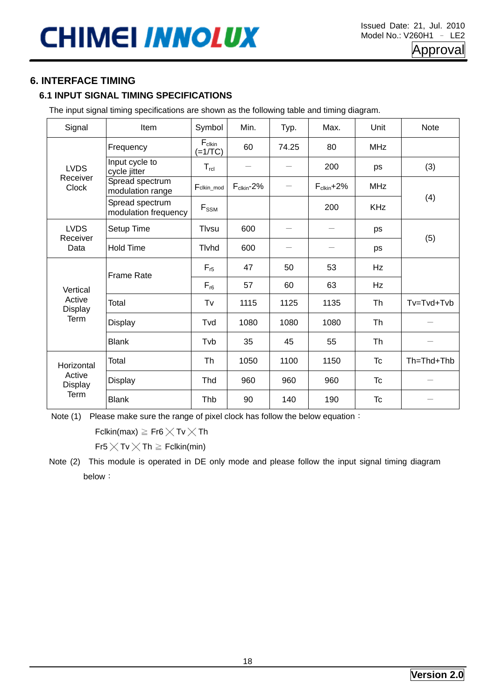### **6. INTERFACE TIMING**

### **6.1 INPUT SIGNAL TIMING SPECIFICATIONS**

The input signal timing specifications are shown as the following table and timing diagram.

| Signal                   | Item                                    | Symbol                          | Min.                   | Typ.       | Max.                   | Unit       | <b>Note</b> |
|--------------------------|-----------------------------------------|---------------------------------|------------------------|------------|------------------------|------------|-------------|
|                          | Frequency                               | $F_{\text{clkin}}$<br>$(=1/TC)$ | 60                     | 74.25      | 80                     | <b>MHz</b> |             |
| <b>LVDS</b>              | Input cycle to<br>cycle jitter          | $T_{\text{rcl}}$                |                        |            | 200                    | ps         | (3)         |
| Receiver<br><b>Clock</b> | Spread spectrum<br>modulation range     | Fclkin_mod                      | $F_{\text{clkin}}$ -2% |            | $F_{\text{clkin}}$ +2% | <b>MHz</b> |             |
|                          | Spread spectrum<br>modulation frequency | $F_\text{SSM}$                  | 200<br>600<br>600      | <b>KHz</b> | (4)                    |            |             |
| <b>LVDS</b><br>Receiver  | Setup Time                              | Tlvsu                           |                        |            |                        | ps         |             |
| Data                     | <b>Hold Time</b>                        | Tlvhd                           |                        |            |                        | ps         | (5)         |
|                          | <b>Frame Rate</b>                       | $F_{r5}$                        | 47                     | 50         | 53                     | Hz         |             |
| Vertical                 |                                         | $F_{r6}$                        | 57                     | 60         | 63                     | Hz         |             |
| Active<br><b>Display</b> | Total                                   | Tv                              | 1115                   | 1125       | 1135                   | Th         | Tv=Tvd+Tvb  |
| Term                     | <b>Display</b>                          | Tvd                             | 1080                   | 1080       | 1080                   | Th         |             |
|                          | <b>Blank</b>                            | Tvb                             | 35                     | 45         | 55                     | Th         |             |
| Horizontal               | Total                                   | Th                              | 1050                   | 1100       | 1150                   | <b>Tc</b>  | Th=Thd+Thb  |
| Active<br>Display        | <b>Display</b>                          | Thd                             | 960                    | 960        | 960                    | Tc         |             |
| Term                     | <b>Blank</b>                            | Thb                             | 90                     | 140        | 190                    | <b>Tc</b>  |             |

Note (1) Please make sure the range of pixel clock has follow the below equation:

Fclkin(max)  $\geq$  Fr6  $\times$  Tv  $\times$  Th

 $Fr5 \times Tv \times Th \geq Fclkin(min)$ 

Note (2) This module is operated in DE only mode and please follow the input signal timing diagram below: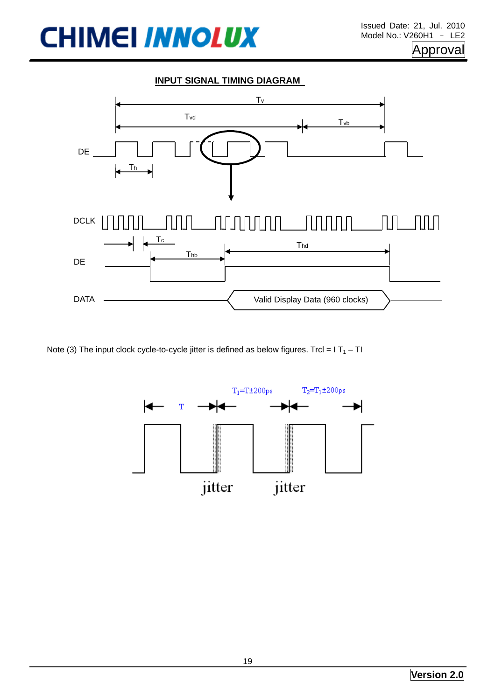DATA



Valid Display Data (960 clocks)

Note (3) The input clock cycle-to-cycle jitter is defined as below figures. Trcl =  $IT_1 - TI$ 

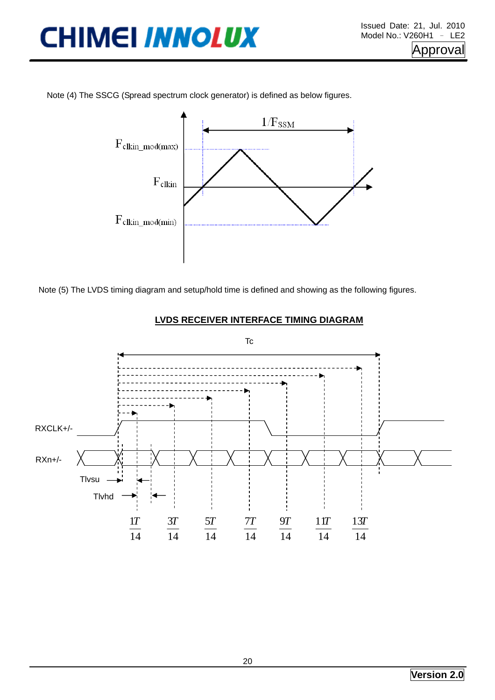Note (4) The SSCG (Spread spectrum clock generator) is defined as below figures.



Note (5) The LVDS timing diagram and setup/hold time is defined and showing as the following figures.



#### **LVDS RECEIVER INTERFACE TIMING DIAGRAM**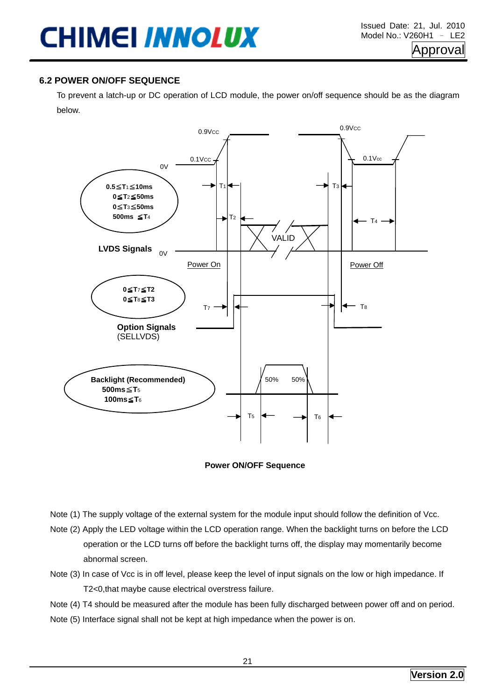#### **6.2 POWER ON/OFF SEQUENCE**

To prevent a latch-up or DC operation of LCD module, the power on/off sequence should be as the diagram below.



**Power ON/OFF Sequence** 

- Note (1) The supply voltage of the external system for the module input should follow the definition of Vcc.
- Note (2) Apply the LED voltage within the LCD operation range. When the backlight turns on before the LCD operation or the LCD turns off before the backlight turns off, the display may momentarily become abnormal screen.
- Note (3) In case of Vcc is in off level, please keep the level of input signals on the low or high impedance. If T2<0,that maybe cause electrical overstress failure.
- Note (4) T4 should be measured after the module has been fully discharged between power off and on period.
- Note (5) Interface signal shall not be kept at high impedance when the power is on.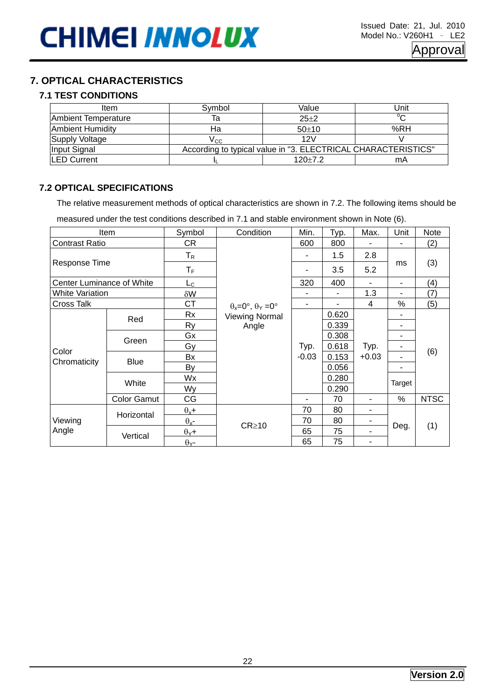### **7. OPTICAL CHARACTERISTICS**

### **7.1 TEST CONDITIONS**

| Item                    | Svmbol | Value                                                         | Unit   |  |  |  |  |
|-------------------------|--------|---------------------------------------------------------------|--------|--|--|--|--|
| Ambient Temperature     |        | $25+2$                                                        | $\sim$ |  |  |  |  |
| <b>Ambient Humidity</b> | На     | $50+10$                                                       | %RH    |  |  |  |  |
| Supply Voltage          | Vcc.   | 12V                                                           |        |  |  |  |  |
| Input Signal            |        | According to typical value in "3. ELECTRICAL CHARACTERISTICS" |        |  |  |  |  |
| <b>LED Current</b>      |        | $120+7.2$                                                     | mA     |  |  |  |  |

#### **7.2 OPTICAL SPECIFICATIONS**

The relative measurement methods of optical characteristics are shown in 7.2. The following items should be

measured under the test conditions described in 7.1 and stable environment shown in Note (6).

|                           | <b>Item</b>        | Symbol                  | Condition                                   | Min.            | Typ.  | Max.    | Unit           | Note        |  |
|---------------------------|--------------------|-------------------------|---------------------------------------------|-----------------|-------|---------|----------------|-------------|--|
| <b>Contrast Ratio</b>     |                    | CR                      |                                             | 600             | 800   |         |                | (2)         |  |
|                           |                    | $T_R$                   |                                             |                 | 1.5   | 2.8     |                |             |  |
| Response Time             |                    | $T_F$                   |                                             |                 | 3.5   | 5.2     | ms             | (3)         |  |
| Center Luminance of White |                    | $L_{\rm C}$             |                                             | 320             | 400   |         | -              | (4)         |  |
| White Variation           |                    | δW                      |                                             |                 |       | 1.3     | ۰              | (7)         |  |
| <b>Cross Talk</b>         |                    | <b>CT</b>               | $\theta_x = 0^\circ$ , $\theta_y = 0^\circ$ | ۰               |       | 4       | %              | (5)         |  |
|                           | Red                | <b>Rx</b>               | <b>Viewing Normal</b>                       |                 | 0.620 |         |                | (6)         |  |
|                           |                    | <b>Ry</b>               | Angle                                       | Typ.<br>$-0.03$ | 0.339 |         | ۰              |             |  |
|                           | Green              | Gx                      |                                             |                 | 0.308 |         | ۰              |             |  |
| Color<br>Chromaticity     |                    | Gy                      |                                             |                 | 0.618 | Typ.    | ۰              |             |  |
|                           | <b>Blue</b>        | Bx                      |                                             |                 | 0.153 | $+0.03$ | ۰              |             |  |
|                           |                    | By                      |                                             |                 | 0.056 |         | $\blacksquare$ |             |  |
|                           | White              | Wx                      |                                             |                 | 0.280 |         | Target         |             |  |
|                           |                    | Wy                      |                                             |                 | 0.290 |         |                |             |  |
|                           | <b>Color Gamut</b> | CG                      |                                             | ۰               | 70    | ۰       | $\%$           | <b>NTSC</b> |  |
|                           | Horizontal         | $\theta_x +$            |                                             | 70              | 80    | ٠       |                |             |  |
| Viewing                   |                    | $\theta_{x}$ -          | $CR \ge 10$                                 | 70              | 80    |         |                |             |  |
| Angle                     | Vertical           | $\theta$ <sub>Y</sub> + |                                             | 65              | 75    | ۰       | Deg.           | (1)         |  |
|                           |                    | $\theta$ <sub>Y</sub> - |                                             | 65              | 75    |         |                |             |  |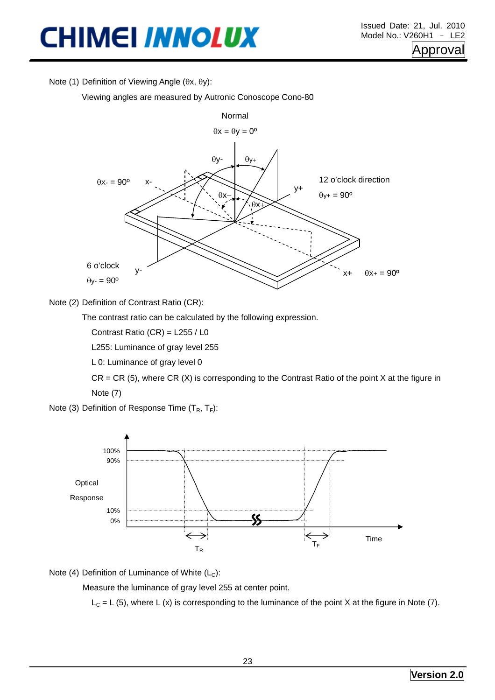Note (1) Definition of Viewing Angle (θx, θy):

Viewing angles are measured by Autronic Conoscope Cono-80



Note (2) Definition of Contrast Ratio (CR):

The contrast ratio can be calculated by the following expression.

Contrast Ratio (CR) = L255 / L0

L255: Luminance of gray level 255

L 0: Luminance of gray level 0

 $CR = CR$  (5), where  $CR$  (X) is corresponding to the Contrast Ratio of the point X at the figure in Note (7)

Note (3) Definition of Response Time  $(T_R, T_F)$ :



Note (4) Definition of Luminance of White  $(L<sub>c</sub>)$ :

Measure the luminance of gray level 255 at center point.

 $L<sub>C</sub> = L (5)$ , where L (x) is corresponding to the luminance of the point X at the figure in Note (7).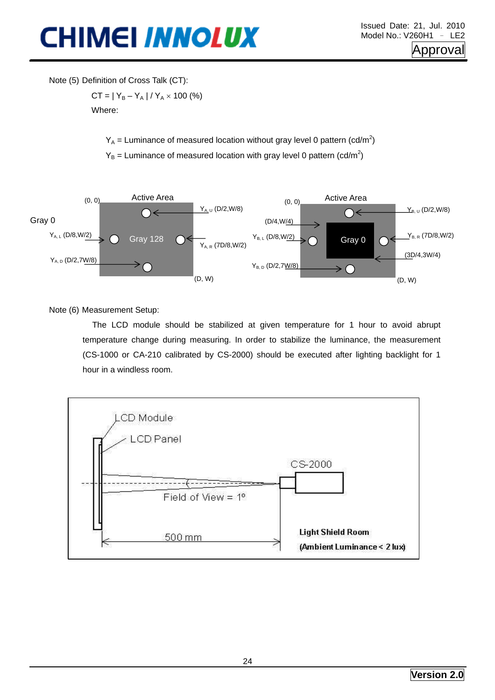Note (5) Definition of Cross Talk (CT):

 $CT = |Y_B - Y_A| / Y_A \times 100$  (%) Where:

 $Y_A$  = Luminance of measured location without gray level 0 pattern (cd/m<sup>2</sup>)

 $Y_B$  = Luminance of measured location with gray level 0 pattern (cd/m<sup>2</sup>)



Note (6) Measurement Setup:

The LCD module should be stabilized at given temperature for 1 hour to avoid abrupt temperature change during measuring. In order to stabilize the luminance, the measurement (CS-1000 or CA-210 calibrated by CS-2000) should be executed after lighting backlight for 1 hour in a windless room.

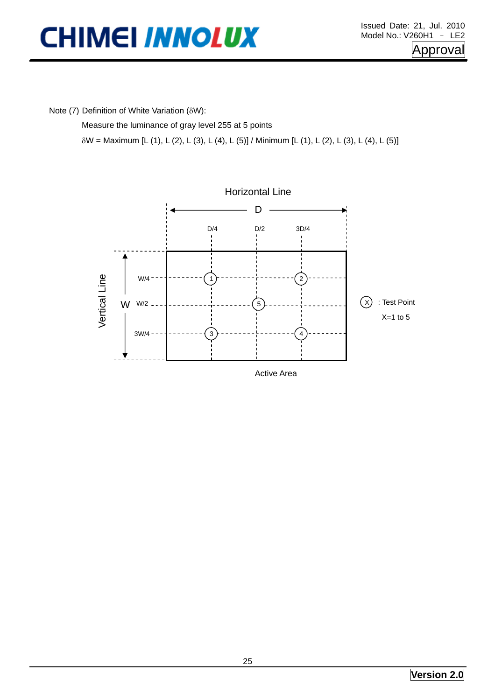Note (7) Definition of White Variation (δW):

Measure the luminance of gray level 255 at 5 points

δW = Maximum [L (1), L (2), L (3), L (4), L (5)] / Minimum [L (1), L (2), L (3), L (4), L (5)]

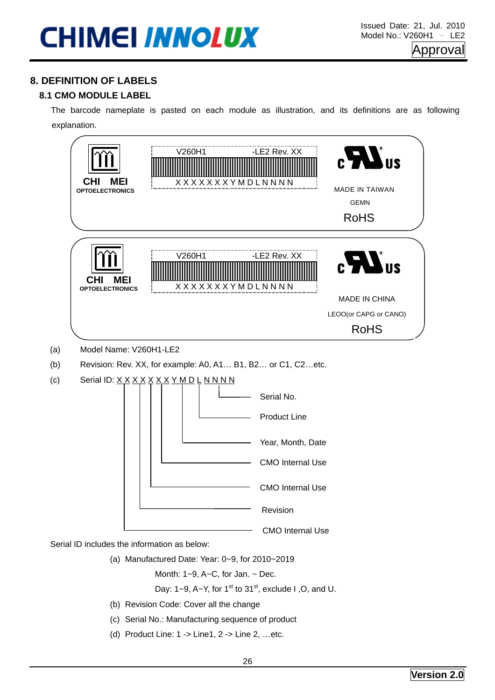### **8. DEFINITION OF LABELS**

### **8.1 CMO MODULE LABEL**

The barcode nameplate is pasted on each module as illustration, and its definitions are as following explanation.



Month:  $1-9$ ,  $A-C$ , for Jan.  $\sim$  Dec.

Day:  $1-9$ ,  $A-Y$ , for  $1<sup>st</sup>$  to  $31<sup>st</sup>$ , exclude I, O, and U.

- (b) Revision Code: Cover all the change
- (c) Serial No.: Manufacturing sequence of product
- (d) Product Line: 1 -> Line1, 2 -> Line 2, …etc.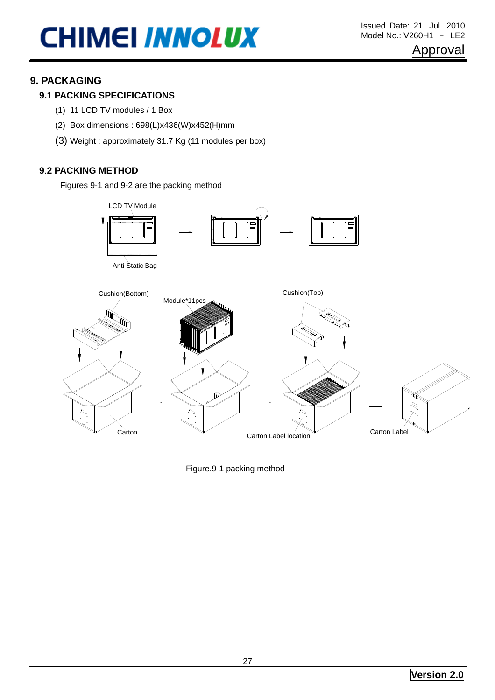### **9. PACKAGING**

### **9.1 PACKING SPECIFICATIONS**

- (1) 11 LCD TV modules / 1 Box
- (2) Box dimensions : 698(L)x436(W)x452(H)mm
- (3) Weight : approximately 31.7 Kg (11 modules per box)

#### **9**.**2 PACKING METHOD**

Figures 9-1 and 9-2 are the packing method



Figure.9-1 packing method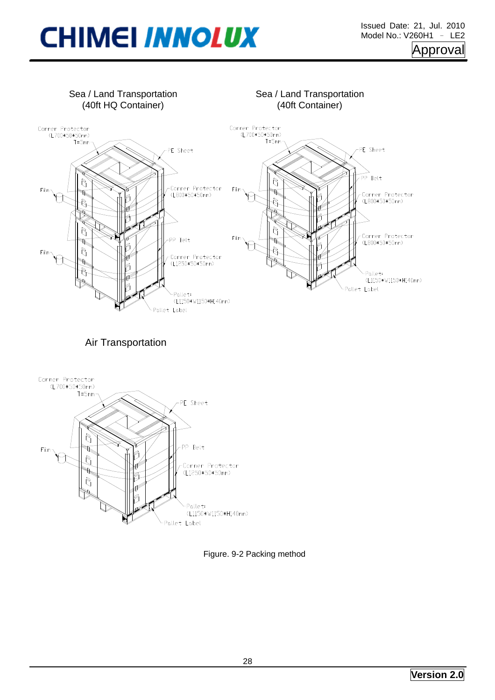

Figure. 9-2 Packing method

.<br>Pallet Label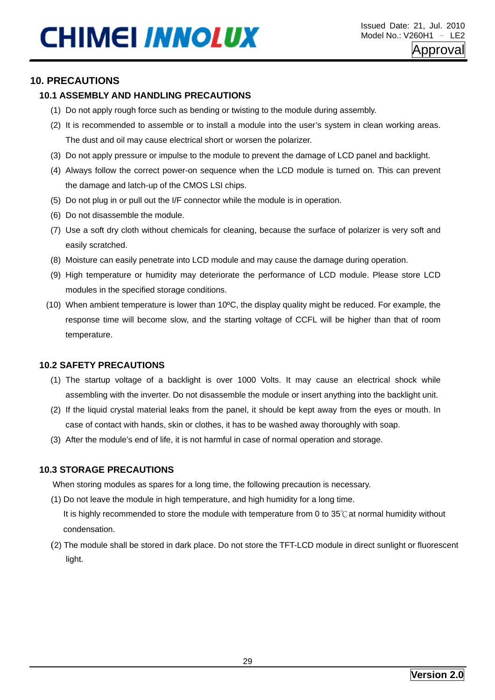### **10. PRECAUTIONS**

#### **10.1 ASSEMBLY AND HANDLING PRECAUTIONS**

- (1) Do not apply rough force such as bending or twisting to the module during assembly.
- (2) It is recommended to assemble or to install a module into the user's system in clean working areas. The dust and oil may cause electrical short or worsen the polarizer.
- (3) Do not apply pressure or impulse to the module to prevent the damage of LCD panel and backlight.
- (4) Always follow the correct power-on sequence when the LCD module is turned on. This can prevent the damage and latch-up of the CMOS LSI chips.
- (5) Do not plug in or pull out the I/F connector while the module is in operation.
- (6) Do not disassemble the module.
- (7) Use a soft dry cloth without chemicals for cleaning, because the surface of polarizer is very soft and easily scratched.
- (8) Moisture can easily penetrate into LCD module and may cause the damage during operation.
- (9) High temperature or humidity may deteriorate the performance of LCD module. Please store LCD modules in the specified storage conditions.
- (10) When ambient temperature is lower than  $10^{\circ}$ C, the display quality might be reduced. For example, the response time will become slow, and the starting voltage of CCFL will be higher than that of room temperature.

#### **10.2 SAFETY PRECAUTIONS**

- (1) The startup voltage of a backlight is over 1000 Volts. It may cause an electrical shock while assembling with the inverter. Do not disassemble the module or insert anything into the backlight unit.
- (2) If the liquid crystal material leaks from the panel, it should be kept away from the eyes or mouth. In case of contact with hands, skin or clothes, it has to be washed away thoroughly with soap.
- (3) After the module's end of life, it is not harmful in case of normal operation and storage.

#### **10.3 STORAGE PRECAUTIONS**

When storing modules as spares for a long time, the following precaution is necessary.

- (1) Do not leave the module in high temperature, and high humidity for a long time. It is highly recommended to store the module with temperature from 0 to 35℃at normal humidity without condensation.
- (2) The module shall be stored in dark place. Do not store the TFT-LCD module in direct sunlight or fluorescent light.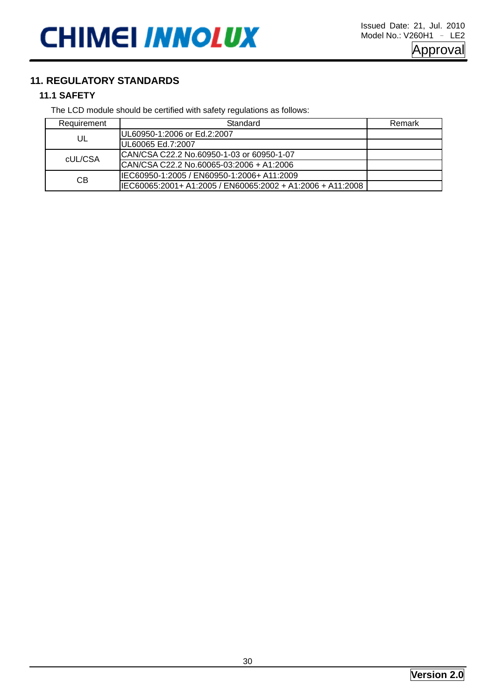### **11. REGULATORY STANDARDS**

### **11.1 SAFETY**

The LCD module should be certified with safety regulations as follows:

| Requirement | Standard                                                   | Remark |
|-------------|------------------------------------------------------------|--------|
| UL          | UL60950-1:2006 or Ed.2:2007                                |        |
|             | UL60065 Ed.7:2007                                          |        |
| cUL/CSA     | ICAN/CSA C22.2 No.60950-1-03 or 60950-1-07                 |        |
|             | ICAN/CSA C22.2 No.60065-03:2006 + A1:2006                  |        |
| СB          | IIEC60950-1:2005 / EN60950-1:2006+ A11:2009                |        |
|             | IEC60065:2001+ A1:2005 / EN60065:2002 + A1:2006 + A11:2008 |        |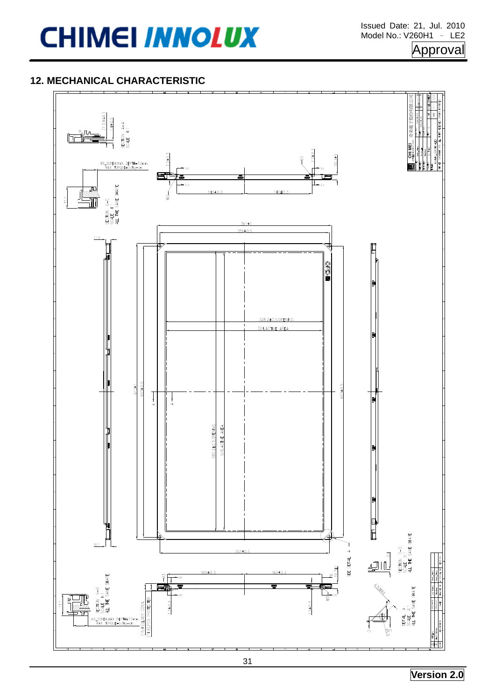### Approval

### **12. MECHANICAL CHARACTERISTIC**

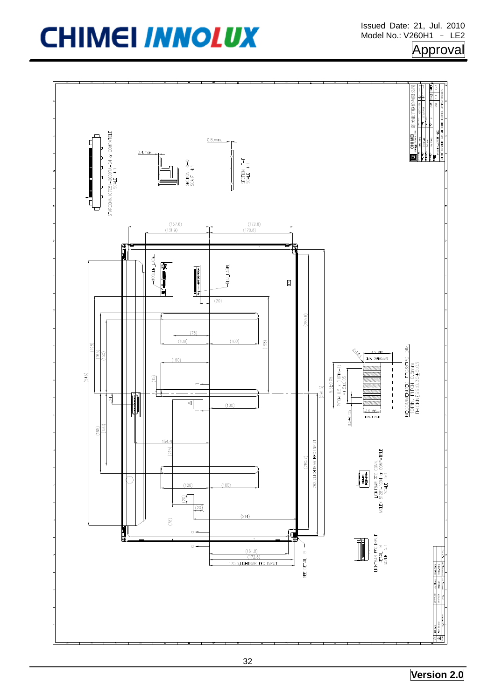